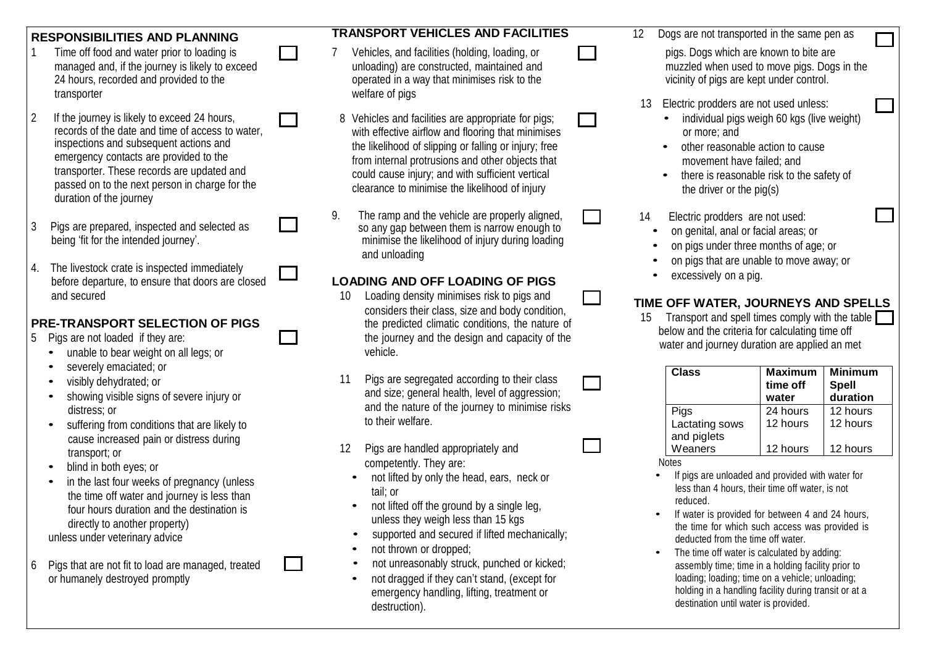- managed and, if the journey is likely to exceed 24 hours, recorded and provided to the transporter
- 2 If the journey is likely to exceed 24 hours, records of the date and time of access to water, inspections and subsequent actions and emergency contacts are provided to the transporter. These records are updated and passed on to the next person in charge for the duration of the journey
- 3 Pigs are prepared, inspected and selected as being 'fit for the intended journey'.
- 4. The livestock crate is inspected immediately before departure, to ensure that doors are closed and secured

#### **PRE-TRANSPORT SELECTION OF PIGS**

- 5 Pigs are not loaded if they are:
	- unable to bear weight on all legs; or
	- severely emaciated; or
	- visibly dehydrated; or
	- showing visible signs of severe injury or distress; or
	- suffering from conditions that are likely to cause increased pain or distress during transport; or
	- blind in both eyes; or
	- in the last four weeks of pregnancy (unless the time off water and journey is less than four hours duration and the destination is directly to another property) unless under veterinary advice
- 6 Pigs that are not fit to load are managed, treated or humanely destroyed promptly

#### **RESPONSIBILITIES AND PLANNING TRANSPORT VEHICLES AND FACILITIES** <sup>12</sup> Dogs are not transported in the same pen as

- 1 Time off food and water prior to loading is **1** 7 Vehicles, and facilities (holding, loading, or **public are are prior** pigs. Dogs which are known to bite are unloading) are constructed, maintained and operated in a way that minimises risk to the welfare of pigs
	- 8 Vehicles and facilities are appropriate for pigs; with effective airflow and flooring that minimises the likelihood of slipping or falling or injury; free from internal protrusions and other objects that could cause injury; and with sufficient vertical clearance to minimise the likelihood of injury
	- 9. The ramp and the vehicle are properly aligned, Ī so any gap between them is narrow enough to minimise the likelihood of injury during loading and unloading

#### **LOADING AND OFF LOADING OF PIGS**

- 10 Loading density minimises risk to pigs and considers their class, size and body condition, the predicted climatic conditions, the nature of the journey and the design and capacity of the vehicle.
- 11 Pigs are segregated according to their class and size; general health, level of aggression; and the nature of the journey to minimise risks to their welfare.
- 12 Pigs are handled appropriately and competently. They are:
	- not lifted by only the head, ears, neck or tail; or
	- not lifted off the ground by a single leg, unless they weigh less than 15 kgs
	- supported and secured if lifted mechanically;
	- not thrown or dropped;
	- not unreasonably struck, punched or kicked;
	- not dragged if they can't stand, (except for emergency handling, lifting, treatment or destruction).
- muzzled when used to move pigs. Dogs in the vicinity of pigs are kept under control.
- 13 Electric prodders are not used unless:
	- individual pigs weigh 60 kgs (live weight) or more; and
	- other reasonable action to cause movement have failed; and
	- there is reasonable risk to the safety of the driver or the pig(s)
- 14 Electric prodders are not used:
	- on genital, anal or facial areas; or
	- on pigs under three months of age; or
	- on pigs that are unable to move away; or
	- excessively on a pig.

### **TIME OFF WATER, JOURNEYS AND SPELLS**

15 Transport and spell times comply with the table below and the criteria for calculating time off water and journey duration are applied an met

| Class                                 | <b>Maximum</b><br>time off<br>water | <b>Minimum</b><br><b>Spell</b><br>duration |
|---------------------------------------|-------------------------------------|--------------------------------------------|
| Pigs<br>Lactating sows<br>and piglets | 24 hours<br>12 hours                | 12 hours<br>12 hours                       |
| Weaners                               | 12 hours                            | 12 hours                                   |

Notes

 $\overline{\phantom{a}}$ 

- If pigs are unloaded and provided with water for less than 4 hours, their time off water, is not reduced.
- If water is provided for between 4 and 24 hours, the time for which such access was provided is deducted from the time off water.
- The time off water is calculated by adding: assembly time; time in a holding facility prior to loading; loading; time on a vehicle; unloading; holding in a handling facility during transit or at a destination until water is provided.